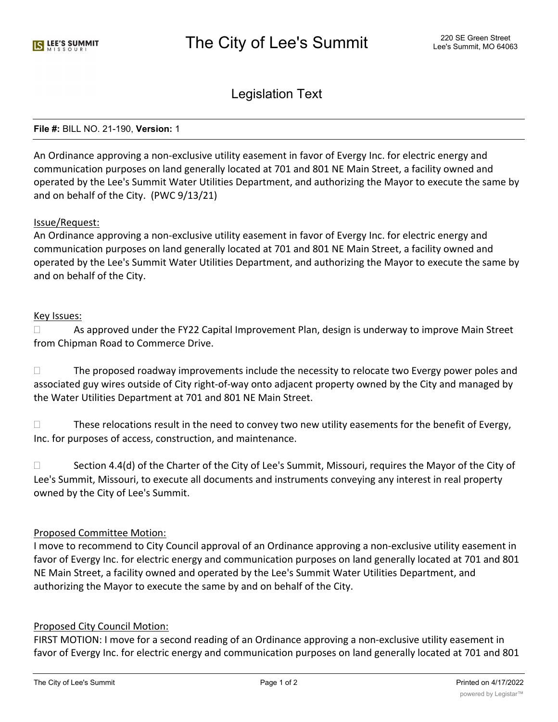Legislation Text

### **File #:** BILL NO. 21-190, **Version:** 1

An Ordinance approving a non-exclusive utility easement in favor of Evergy Inc. for electric energy and communication purposes on land generally located at 701 and 801 NE Main Street, a facility owned and operated by the Lee's Summit Water Utilities Department, and authorizing the Mayor to execute the same by and on behalf of the City. (PWC 9/13/21)

## Issue/Request:

An Ordinance approving a non-exclusive utility easement in favor of Evergy Inc. for electric energy and communication purposes on land generally located at 701 and 801 NE Main Street, a facility owned and operated by the Lee's Summit Water Utilities Department, and authorizing the Mayor to execute the same by and on behalf of the City.

## Key Issues:

 $\Box$  As approved under the FY22 Capital Improvement Plan, design is underway to improve Main Street from Chipman Road to Commerce Drive.

 $\Box$  The proposed roadway improvements include the necessity to relocate two Evergy power poles and associated guy wires outside of City right-of-way onto adjacent property owned by the City and managed by the Water Utilities Department at 701 and 801 NE Main Street.

 $\Box$  These relocations result in the need to convey two new utility easements for the benefit of Evergy, Inc. for purposes of access, construction, and maintenance.

 $\Box$  Section 4.4(d) of the Charter of the City of Lee's Summit, Missouri, requires the Mayor of the City of Lee's Summit, Missouri, to execute all documents and instruments conveying any interest in real property owned by the City of Lee's Summit.

## Proposed Committee Motion:

I move to recommend to City Council approval of an Ordinance approving a non-exclusive utility easement in favor of Evergy Inc. for electric energy and communication purposes on land generally located at 701 and 801 NE Main Street, a facility owned and operated by the Lee's Summit Water Utilities Department, and authorizing the Mayor to execute the same by and on behalf of the City.

## Proposed City Council Motion:

FIRST MOTION: I move for a second reading of an Ordinance approving a non-exclusive utility easement in favor of Evergy Inc. for electric energy and communication purposes on land generally located at 701 and 801